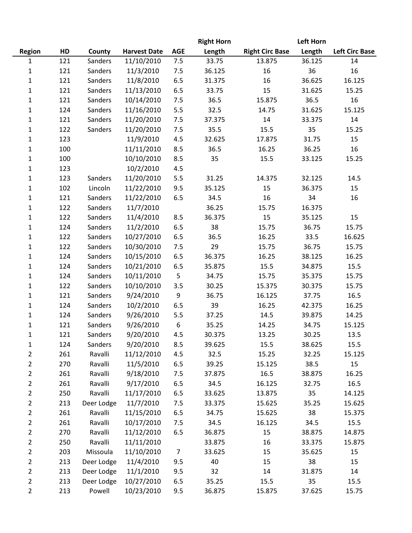|                |     |            |                     |                | <b>Right Horn</b> |                        | <b>Left Horn</b> |                       |
|----------------|-----|------------|---------------------|----------------|-------------------|------------------------|------------------|-----------------------|
| <b>Region</b>  | HD  | County     | <b>Harvest Date</b> | <b>AGE</b>     | Length            | <b>Right Circ Base</b> | Length           | <b>Left Circ Base</b> |
| 1              | 121 | Sanders    | 11/10/2010          | 7.5            | 33.75             | 13.875                 | 36.125           | 14                    |
| 1              | 121 | Sanders    | 11/3/2010           | 7.5            | 36.125            | 16                     | 36               | 16                    |
| 1              | 121 | Sanders    | 11/8/2010           | 6.5            | 31.375            | 16                     | 36.625           | 16.125                |
| $\mathbf{1}$   | 121 | Sanders    | 11/13/2010          | 6.5            | 33.75             | 15                     | 31.625           | 15.25                 |
| 1              | 121 | Sanders    | 10/14/2010          | 7.5            | 36.5              | 15.875                 | 36.5             | 16                    |
| $\mathbf{1}$   | 124 | Sanders    | 11/16/2010          | 5.5            | 32.5              | 14.75                  | 31.625           | 15.125                |
| $\mathbf 1$    | 121 | Sanders    | 11/20/2010          | 7.5            | 37.375            | 14                     | 33.375           | 14                    |
| 1              | 122 | Sanders    | 11/20/2010          | 7.5            | 35.5              | 15.5                   | 35               | 15.25                 |
| $\mathbf 1$    | 123 |            | 11/9/2010           | 4.5            | 32.625            | 17.875                 | 31.75            | 15                    |
| 1              | 100 |            | 11/11/2010          | 8.5            | 36.5              | 16.25                  | 36.25            | 16                    |
| $\mathbf 1$    | 100 |            | 10/10/2010          | 8.5            | 35                | 15.5                   | 33.125           | 15.25                 |
| 1              | 123 |            | 10/2/2010           | 4.5            |                   |                        |                  |                       |
| 1              | 123 | Sanders    | 11/20/2010          | 5.5            | 31.25             | 14.375                 | 32.125           | 14.5                  |
| 1              | 102 | Lincoln    | 11/22/2010          | 9.5            | 35.125            | 15                     | 36.375           | 15                    |
| 1              | 121 | Sanders    | 11/22/2010          | 6.5            | 34.5              | 16                     | 34               | 16                    |
| 1              | 122 | Sanders    | 11/7/2010           |                | 36.25             | 15.75                  | 16.375           |                       |
| 1              | 122 | Sanders    | 11/4/2010           | 8.5            | 36.375            | 15                     | 35.125           | 15                    |
| 1              | 124 | Sanders    | 11/2/2010           | 6.5            | 38                | 15.75                  | 36.75            | 15.75                 |
| 1              | 122 | Sanders    | 10/27/2010          | 6.5            | 36.5              | 16.25                  | 33.5             | 16.625                |
| 1              | 122 | Sanders    | 10/30/2010          | 7.5            | 29                | 15.75                  | 36.75            | 15.75                 |
| 1              | 124 | Sanders    | 10/15/2010          | 6.5            | 36.375            | 16.25                  | 38.125           | 16.25                 |
| 1              | 124 | Sanders    | 10/21/2010          | 6.5            | 35.875            | 15.5                   | 34.875           | 15.5                  |
| 1              | 124 | Sanders    | 10/11/2010          | 5              | 34.75             | 15.75                  | 35.375           | 15.75                 |
| 1              | 122 | Sanders    | 10/10/2010          | 3.5            | 30.25             | 15.375                 | 30.375           | 15.75                 |
| $\mathbf{1}$   | 121 | Sanders    | 9/24/2010           | 9              | 36.75             | 16.125                 | 37.75            | 16.5                  |
| 1              | 124 | Sanders    | 10/2/2010           | 6.5            | 39                | 16.25                  | 42.375           | 16.25                 |
| $\mathbf 1$    | 124 | Sanders    | 9/26/2010           | 5.5            | 37.25             | 14.5                   | 39.875           | 14.25                 |
| 1              | 121 | Sanders    | 9/26/2010           | 6              | 35.25             | 14.25                  | 34.75            | 15.125                |
| $\mathbf 1$    | 121 | Sanders    | 9/20/2010           | 4.5            | 30.375            | 13.25                  | 30.25            | 13.5                  |
| 1              | 124 | Sanders    | 9/20/2010           | 8.5            | 39.625            | 15.5                   | 38.625           | 15.5                  |
| $\overline{2}$ | 261 | Ravalli    | 11/12/2010          | 4.5            | 32.5              | 15.25                  | 32.25            | 15.125                |
| 2              | 270 | Ravalli    | 11/5/2010           | 6.5            | 39.25             | 15.125                 | 38.5             | 15                    |
| 2              | 261 | Ravalli    | 9/18/2010           | 7.5            | 37.875            | 16.5                   | 38.875           | 16.25                 |
| $\overline{2}$ | 261 | Ravalli    | 9/17/2010           | 6.5            | 34.5              | 16.125                 | 32.75            | 16.5                  |
| $\overline{2}$ | 250 | Ravalli    | 11/17/2010          | 6.5            | 33.625            | 13.875                 | 35               | 14.125                |
| $\overline{2}$ | 213 | Deer Lodge | 11/7/2010           | 7.5            | 33.375            | 15.625                 | 35.25            | 15.625                |
| $\overline{2}$ | 261 | Ravalli    | 11/15/2010          | 6.5            | 34.75             | 15.625                 | 38               | 15.375                |
| 2              | 261 | Ravalli    | 10/17/2010          | 7.5            | 34.5              | 16.125                 | 34.5             | 15.5                  |
| $\overline{2}$ | 270 | Ravalli    | 11/12/2010          | 6.5            | 36.875            | 15                     | 38.875           | 14.875                |
| 2              | 250 | Ravalli    | 11/11/2010          |                | 33.875            | 16                     | 33.375           | 15.875                |
| $\overline{2}$ | 203 | Missoula   | 11/10/2010          | $\overline{7}$ | 33.625            | 15                     | 35.625           | 15                    |
| $\overline{2}$ | 213 | Deer Lodge | 11/4/2010           | 9.5            | 40                | 15                     | 38               | 15                    |
| $\overline{2}$ | 213 | Deer Lodge | 11/1/2010           | 9.5            | 32                | 14                     | 31.875           | 14                    |
| $\overline{2}$ | 213 | Deer Lodge | 10/27/2010          | 6.5            | 35.25             | 15.5                   | 35               | 15.5                  |
| $\overline{2}$ | 213 | Powell     | 10/23/2010          | 9.5            | 36.875            | 15.875                 | 37.625           | 15.75                 |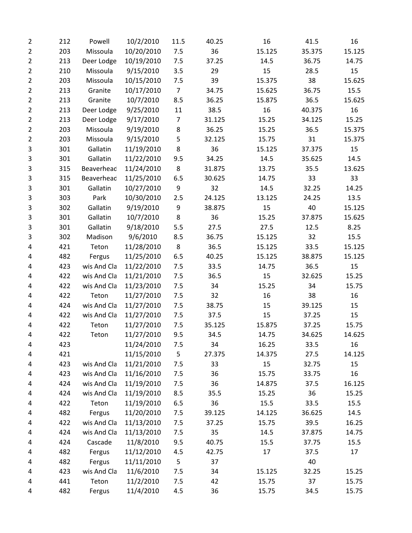| $\overline{2}$ | 212 | Powell      | 10/2/2010  | 11.5           | 40.25  | 16     | 41.5   | 16     |
|----------------|-----|-------------|------------|----------------|--------|--------|--------|--------|
| $\overline{2}$ | 203 | Missoula    | 10/20/2010 | 7.5            | 36     | 15.125 | 35.375 | 15.125 |
| $\overline{2}$ | 213 | Deer Lodge  | 10/19/2010 | 7.5            | 37.25  | 14.5   | 36.75  | 14.75  |
| $\overline{2}$ | 210 | Missoula    | 9/15/2010  | 3.5            | 29     | 15     | 28.5   | 15     |
| $\overline{2}$ | 203 | Missoula    | 10/15/2010 | 7.5            | 39     | 15.375 | 38     | 15.625 |
| 2              | 213 | Granite     | 10/17/2010 | $\overline{7}$ | 34.75  | 15.625 | 36.75  | 15.5   |
| $\overline{2}$ | 213 | Granite     | 10/7/2010  | 8.5            | 36.25  | 15.875 | 36.5   | 15.625 |
| 2              | 213 | Deer Lodge  | 9/25/2010  | 11             | 38.5   | 16     | 40.375 | 16     |
| $\overline{2}$ | 213 | Deer Lodge  | 9/17/2010  | $\overline{7}$ | 31.125 | 15.25  | 34.125 | 15.25  |
| $\overline{2}$ | 203 | Missoula    | 9/19/2010  | $\bf 8$        | 36.25  | 15.25  | 36.5   | 15.375 |
| $\overline{2}$ | 203 | Missoula    | 9/15/2010  | 5              | 32.125 | 15.75  | 31     | 15.375 |
| 3              | 301 | Gallatin    | 11/19/2010 | 8              | 36     | 15.125 | 37.375 | 15     |
| 3              | 301 | Gallatin    | 11/22/2010 | 9.5            | 34.25  | 14.5   | 35.625 | 14.5   |
| 3              | 315 | Beaverhead  | 11/24/2010 | 8              | 31.875 | 13.75  | 35.5   | 13.625 |
| 3              | 315 | Beaverhead  | 11/25/2010 | 6.5            | 30.625 | 14.75  | 33     | 33     |
| 3              | 301 | Gallatin    | 10/27/2010 | 9              | 32     | 14.5   | 32.25  | 14.25  |
| 3              | 303 | Park        | 10/30/2010 | 2.5            | 24.125 | 13.125 | 24.25  | 13.5   |
| 3              | 302 | Gallatin    | 9/19/2010  | 9              | 38.875 | 15     | 40     | 15.125 |
| 3              | 301 | Gallatin    | 10/7/2010  | 8              | 36     | 15.25  | 37.875 | 15.625 |
| 3              | 301 | Gallatin    | 9/18/2010  | 5.5            | 27.5   | 27.5   | 12.5   | 8.25   |
| 3              | 302 | Madison     | 9/6/2010   | 8.5            | 36.75  | 15.125 | 32     | 15.5   |
| 4              | 421 | Teton       | 11/28/2010 | 8              | 36.5   | 15.125 | 33.5   | 15.125 |
| 4              | 482 | Fergus      | 11/25/2010 | 6.5            | 40.25  | 15.125 | 38.875 | 15.125 |
| 4              | 423 | wis And Cla | 11/22/2010 | 7.5            | 33.5   | 14.75  | 36.5   | 15     |
| 4              | 422 | wis And Cla | 11/21/2010 | 7.5            | 36.5   | 15     | 32.625 | 15.25  |
| 4              | 422 | wis And Cla | 11/23/2010 | 7.5            | 34     | 15.25  | 34     | 15.75  |
| 4              | 422 | Teton       | 11/27/2010 | 7.5            | 32     | 16     | 38     | 16     |
| 4              | 424 | wis And Cla | 11/27/2010 | 7.5            | 38.75  | 15     | 39.125 | 15     |
| 4              | 422 | wis And Cla | 11/27/2010 | 7.5            | 37.5   | 15     | 37.25  | 15     |
| 4              | 422 | Teton       | 11/27/2010 | 7.5            | 35.125 | 15.875 | 37.25  | 15.75  |
| 4              | 422 | Teton       | 11/27/2010 | 9.5            | 34.5   | 14.75  | 34.625 | 14.625 |
| 4              | 423 |             | 11/24/2010 | 7.5            | 34     | 16.25  | 33.5   | 16     |
| 4              | 421 |             | 11/15/2010 | 5              | 27.375 | 14.375 | 27.5   | 14.125 |
| 4              | 423 | wis And Cla | 11/21/2010 | 7.5            | 33     | 15     | 32.75  | 15     |
| 4              | 423 | wis And Cla | 11/16/2010 | 7.5            | 36     | 15.75  | 33.75  | 16     |
| 4              | 424 | wis And Cla | 11/19/2010 | 7.5            | 36     | 14.875 | 37.5   | 16.125 |
| 4              | 424 | wis And Cla | 11/19/2010 | 8.5            | 35.5   | 15.25  | 36     | 15.25  |
| 4              | 422 | Teton       | 11/19/2010 | 6.5            | 36     | 15.5   | 33.5   | 15.5   |
| 4              | 482 | Fergus      | 11/20/2010 | 7.5            | 39.125 | 14.125 | 36.625 | 14.5   |
| 4              | 422 | wis And Cla | 11/13/2010 | 7.5            | 37.25  | 15.75  | 39.5   | 16.25  |
| 4              | 424 | wis And Cla | 11/13/2010 | 7.5            | 35     | 14.5   | 37.875 | 14.75  |
| 4              | 424 | Cascade     | 11/8/2010  | 9.5            | 40.75  | 15.5   | 37.75  | 15.5   |
| 4              | 482 | Fergus      | 11/12/2010 | 4.5            | 42.75  | 17     | 37.5   | 17     |
| 4              | 482 | Fergus      | 11/11/2010 | 5              | 37     |        | 40     |        |
| 4              | 423 | wis And Cla | 11/6/2010  | 7.5            | 34     | 15.125 | 32.25  | 15.25  |
| 4              | 441 | Teton       | 11/2/2010  | 7.5            | 42     | 15.75  | 37     | 15.75  |
| 4              | 482 | Fergus      | 11/4/2010  | 4.5            | 36     | 15.75  | 34.5   | 15.75  |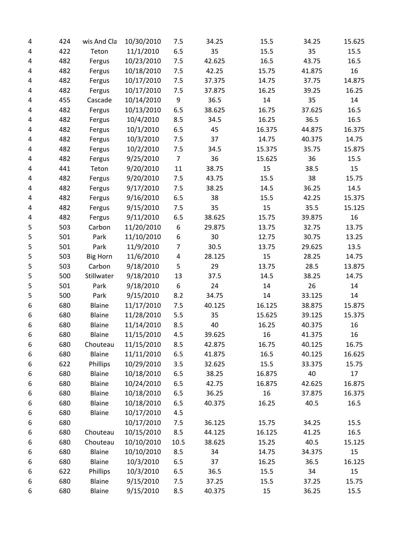| 4 | 424 | wis And Cla     | 10/30/2010 | 7.5            | 34.25  | 15.5   | 34.25  | 15.625 |
|---|-----|-----------------|------------|----------------|--------|--------|--------|--------|
| 4 | 422 | Teton           | 11/1/2010  | 6.5            | 35     | 15.5   | 35     | 15.5   |
| 4 | 482 | Fergus          | 10/23/2010 | 7.5            | 42.625 | 16.5   | 43.75  | 16.5   |
| 4 | 482 | Fergus          | 10/18/2010 | 7.5            | 42.25  | 15.75  | 41.875 | 16     |
| 4 | 482 | Fergus          | 10/17/2010 | 7.5            | 37.375 | 14.75  | 37.75  | 14.875 |
| 4 | 482 | Fergus          | 10/17/2010 | 7.5            | 37.875 | 16.25  | 39.25  | 16.25  |
| 4 | 455 | Cascade         | 10/14/2010 | 9              | 36.5   | 14     | 35     | 14     |
| 4 | 482 | Fergus          | 10/13/2010 | 6.5            | 38.625 | 16.75  | 37.625 | 16.5   |
| 4 | 482 | Fergus          | 10/4/2010  | 8.5            | 34.5   | 16.25  | 36.5   | 16.5   |
| 4 | 482 | Fergus          | 10/1/2010  | 6.5            | 45     | 16.375 | 44.875 | 16.375 |
| 4 | 482 | Fergus          | 10/3/2010  | 7.5            | 37     | 14.75  | 40.375 | 14.75  |
| 4 | 482 | Fergus          | 10/2/2010  | 7.5            | 34.5   | 15.375 | 35.75  | 15.875 |
| 4 | 482 | Fergus          | 9/25/2010  | $\overline{7}$ | 36     | 15.625 | 36     | 15.5   |
| 4 | 441 | Teton           | 9/20/2010  | 11             | 38.75  | 15     | 38.5   | 15     |
| 4 | 482 | Fergus          | 9/20/2010  | 7.5            | 43.75  | 15.5   | 38     | 15.75  |
| 4 | 482 | Fergus          | 9/17/2010  | 7.5            | 38.25  | 14.5   | 36.25  | 14.5   |
| 4 | 482 | Fergus          | 9/16/2010  | 6.5            | 38     | 15.5   | 42.25  | 15.375 |
| 4 | 482 | Fergus          | 9/15/2010  | 7.5            | 35     | 15     | 35.5   | 15.125 |
| 4 | 482 | Fergus          | 9/11/2010  | 6.5            | 38.625 | 15.75  | 39.875 | 16     |
| 5 | 503 | Carbon          | 11/20/2010 | 6              | 29.875 | 13.75  | 32.75  | 13.75  |
| 5 | 501 | Park            | 11/10/2010 | 6              | 30     | 12.75  | 30.75  | 13.25  |
| 5 | 501 | Park            | 11/9/2010  | $\overline{7}$ | 30.5   | 13.75  | 29.625 | 13.5   |
| 5 | 503 | <b>Big Horn</b> | 11/6/2010  | 4              | 28.125 | 15     | 28.25  | 14.75  |
| 5 | 503 | Carbon          | 9/18/2010  | 5              | 29     | 13.75  | 28.5   | 13.875 |
| 5 | 500 | Stillwater      | 9/18/2010  | 13             | 37.5   | 14.5   | 38.25  | 14.75  |
| 5 | 501 | Park            | 9/18/2010  | 6              | 24     | 14     | 26     | 14     |
| 5 | 500 | Park            | 9/15/2010  | 8.2            | 34.75  | 14     | 33.125 | 14     |
| 6 | 680 | Blaine          | 11/17/2010 | 7.5            | 40.125 | 16.125 | 38.875 | 15.875 |
| 6 | 680 | <b>Blaine</b>   | 11/28/2010 | 5.5            | 35     | 15.625 | 39.125 | 15.375 |
| 6 | 680 | <b>Blaine</b>   | 11/14/2010 | 8.5            | 40     | 16.25  | 40.375 | 16     |
| 6 | 680 | <b>Blaine</b>   | 11/15/2010 | 4.5            | 39.625 | 16     | 41.375 | 16     |
| 6 | 680 | Chouteau        | 11/15/2010 | 8.5            | 42.875 | 16.75  | 40.125 | 16.75  |
| 6 | 680 | <b>Blaine</b>   | 11/11/2010 | 6.5            | 41.875 | 16.5   | 40.125 | 16.625 |
| 6 | 622 | Phillips        | 10/29/2010 | 3.5            | 32.625 | 15.5   | 33.375 | 15.75  |
| 6 | 680 | <b>Blaine</b>   | 10/18/2010 | 6.5            | 38.25  | 16.875 | 40     | 17     |
| 6 | 680 | Blaine          | 10/24/2010 | 6.5            | 42.75  | 16.875 | 42.625 | 16.875 |
| 6 | 680 | Blaine          | 10/18/2010 | 6.5            | 36.25  | 16     | 37.875 | 16.375 |
| 6 | 680 | Blaine          | 10/18/2010 | 6.5            | 40.375 | 16.25  | 40.5   | 16.5   |
| 6 | 680 | Blaine          | 10/17/2010 | 4.5            |        |        |        |        |
| 6 | 680 |                 | 10/17/2010 | 7.5            | 36.125 | 15.75  | 34.25  | 15.5   |
| 6 | 680 | Chouteau        | 10/15/2010 | 8.5            | 44.125 | 16.125 | 41.25  | 16.5   |
| 6 | 680 | Chouteau        | 10/10/2010 | 10.5           | 38.625 | 15.25  | 40.5   | 15.125 |
| 6 | 680 | Blaine          | 10/10/2010 | 8.5            | 34     | 14.75  | 34.375 | 15     |
| 6 | 680 | <b>Blaine</b>   | 10/3/2010  | 6.5            | 37     | 16.25  | 36.5   | 16.125 |
| 6 | 622 | Phillips        | 10/3/2010  | 6.5            | 36.5   | 15.5   | 34     | 15     |
| 6 | 680 | <b>Blaine</b>   | 9/15/2010  | 7.5            | 37.25  | 15.5   | 37.25  | 15.75  |
| 6 | 680 | Blaine          | 9/15/2010  | 8.5            | 40.375 | 15     | 36.25  | 15.5   |